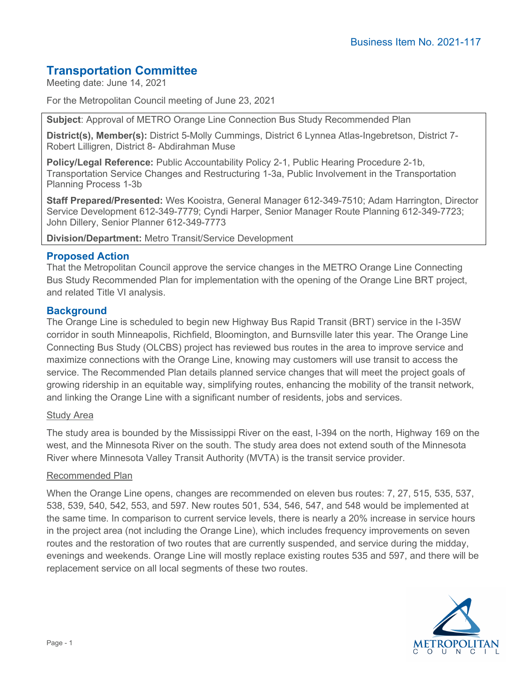# **Transportation Committee**

Meeting date: June 14, 2021

For the Metropolitan Council meeting of June 23, 2021

**Subject**: Approval of METRO Orange Line Connection Bus Study Recommended Plan

**District(s), Member(s):** District 5-Molly Cummings, District 6 Lynnea Atlas-Ingebretson, District 7- Robert Lilligren, District 8- Abdirahman Muse

**Policy/Legal Reference:** Public Accountability Policy 2-1, Public Hearing Procedure 2-1b, Transportation Service Changes and Restructuring 1-3a, Public Involvement in the Transportation Planning Process 1-3b

**Staff Prepared/Presented:** Wes Kooistra, General Manager 612-349-7510; Adam Harrington, Director Service Development 612-349-7779; Cyndi Harper, Senior Manager Route Planning 612-349-7723; John Dillery, Senior Planner 612-349-7773

**Division/Department:** Metro Transit/Service Development

## **Proposed Action**

That the Metropolitan Council approve the service changes in the METRO Orange Line Connecting Bus Study Recommended Plan for implementation with the opening of the Orange Line BRT project, and related Title VI analysis.

### **Background**

The Orange Line is scheduled to begin new Highway Bus Rapid Transit (BRT) service in the I-35W corridor in south Minneapolis, Richfield, Bloomington, and Burnsville later this year. The Orange Line Connecting Bus Study (OLCBS) project has reviewed bus routes in the area to improve service and maximize connections with the Orange Line, knowing may customers will use transit to access the service. The Recommended Plan details planned service changes that will meet the project goals of growing ridership in an equitable way, simplifying routes, enhancing the mobility of the transit network, and linking the Orange Line with a significant number of residents, jobs and services.

#### Study Area

The study area is bounded by the Mississippi River on the east, I-394 on the north, Highway 169 on the west, and the Minnesota River on the south. The study area does not extend south of the Minnesota River where Minnesota Valley Transit Authority (MVTA) is the transit service provider.

#### Recommended Plan

When the Orange Line opens, changes are recommended on eleven bus routes: 7, 27, 515, 535, 537, 538, 539, 540, 542, 553, and 597. New routes 501, 534, 546, 547, and 548 would be implemented at the same time. In comparison to current service levels, there is nearly a 20% increase in service hours in the project area (not including the Orange Line), which includes frequency improvements on seven routes and the restoration of two routes that are currently suspended, and service during the midday, evenings and weekends. Orange Line will mostly replace existing routes 535 and 597, and there will be replacement service on all local segments of these two routes.

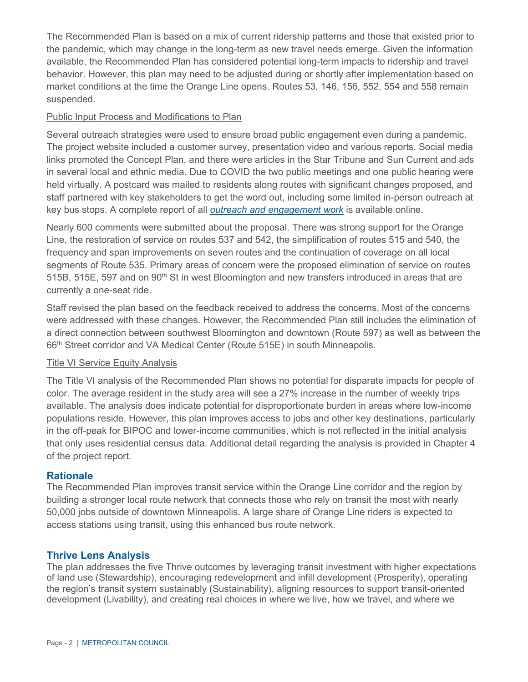The Recommended Plan is based on a mix of current ridership patterns and those that existed prior to the pandemic, which may change in the long-term as new travel needs emerge. Given the information available, the Recommended Plan has considered potential long-term impacts to ridership and travel behavior. However, this plan may need to be adjusted during or shortly after implementation based on market conditions at the time the Orange Line opens. Routes 53, 146, 156, 552, 554 and 558 remain suspended.

## Public Input Process and Modifications to Plan

Several outreach strategies were used to ensure broad public engagement even during a pandemic. The project website included a customer survey, presentation video and various reports. Social media links promoted the Concept Plan, and there were articles in the Star Tribune and Sun Current and ads in several local and ethnic media. Due to COVID the two public meetings and one public hearing were held virtually. A postcard was mailed to residents along routes with significant changes proposed, and staff partnered with key stakeholders to get the word out, including some limited in-person outreach at key bus stops. A complete report of all *[outreach and engagement work](https://www.metrotransit.org/Data/Sites/1/media/concept-plan-engagement-summary-final-20200421.pdf)* is available online.

Nearly 600 comments were submitted about the proposal. There was strong support for the Orange Line, the restoration of service on routes 537 and 542, the simplification of routes 515 and 540, the frequency and span improvements on seven routes and the continuation of coverage on all local segments of Route 535. Primary areas of concern were the proposed elimination of service on routes 515B, 515E, 597 and on 90<sup>th</sup> St in west Bloomington and new transfers introduced in areas that are currently a one-seat ride.

Staff revised the plan based on the feedback received to address the concerns. Most of the concerns were addressed with these changes. However, the Recommended Plan still includes the elimination of a direct connection between southwest Bloomington and downtown (Route 597) as well as between the 66<sup>th</sup> Street corridor and VA Medical Center (Route 515E) in south Minneapolis.

#### Title VI Service Equity Analysis

The Title VI analysis of the Recommended Plan shows no potential for disparate impacts for people of color. The average resident in the study area will see a 27% increase in the number of weekly trips available. The analysis does indicate potential for disproportionate burden in areas where low-income populations reside. However, this plan improves access to jobs and other key destinations, particularly in the off-peak for BIPOC and lower-income communities, which is not reflected in the initial analysis that only uses residential census data. Additional detail regarding the analysis is provided in Chapter 4 of the project report.

#### **Rationale**

The Recommended Plan improves transit service within the Orange Line corridor and the region by building a stronger local route network that connects those who rely on transit the most with nearly 50,000 jobs outside of downtown Minneapolis. A large share of Orange Line riders is expected to access stations using transit, using this enhanced bus route network.

## **Thrive Lens Analysis**

The plan addresses the five Thrive outcomes by leveraging transit investment with higher expectations of land use (Stewardship), encouraging redevelopment and infill development (Prosperity), operating the region's transit system sustainably (Sustainability), aligning resources to support transit-oriented development (Livability), and creating real choices in where we live, how we travel, and where we